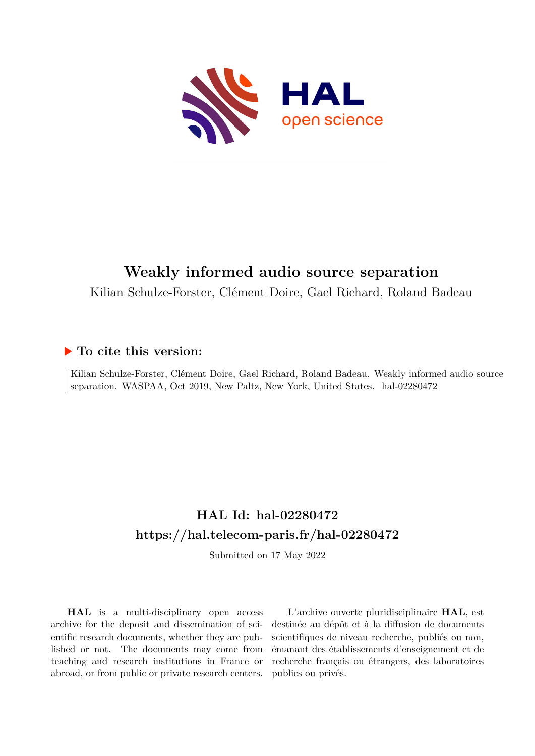

# **Weakly informed audio source separation**

Kilian Schulze-Forster, Clément Doire, Gael Richard, Roland Badeau

# **To cite this version:**

Kilian Schulze-Forster, Clément Doire, Gael Richard, Roland Badeau. Weakly informed audio source separation. WASPAA, Oct 2019, New Paltz, New York, United States. hal-02280472

# **HAL Id: hal-02280472 <https://hal.telecom-paris.fr/hal-02280472>**

Submitted on 17 May 2022

**HAL** is a multi-disciplinary open access archive for the deposit and dissemination of scientific research documents, whether they are published or not. The documents may come from teaching and research institutions in France or abroad, or from public or private research centers.

L'archive ouverte pluridisciplinaire **HAL**, est destinée au dépôt et à la diffusion de documents scientifiques de niveau recherche, publiés ou non, émanant des établissements d'enseignement et de recherche français ou étrangers, des laboratoires publics ou privés.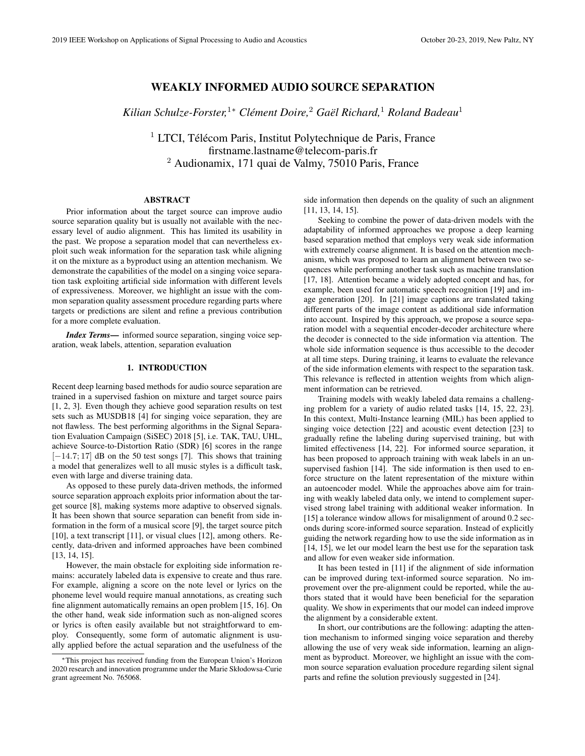# WEAKLY INFORMED AUDIO SOURCE SEPARATION

*Kilian Schulze-Forster,*<sup>1</sup><sup>∗</sup> *Clement Doire, ´* <sup>2</sup> *Gael Richard, ¨* <sup>1</sup> *Roland Badeau*<sup>1</sup>

 $1$  LTCI, Télécom Paris, Institut Polytechnique de Paris, France firstname.lastname@telecom-paris.fr <sup>2</sup> Audionamix, 171 quai de Valmy, 75010 Paris, France

### **ABSTRACT**

Prior information about the target source can improve audio source separation quality but is usually not available with the necessary level of audio alignment. This has limited its usability in the past. We propose a separation model that can nevertheless exploit such weak information for the separation task while aligning it on the mixture as a byproduct using an attention mechanism. We demonstrate the capabilities of the model on a singing voice separation task exploiting artificial side information with different levels of expressiveness. Moreover, we highlight an issue with the common separation quality assessment procedure regarding parts where targets or predictions are silent and refine a previous contribution for a more complete evaluation.

*Index Terms*— informed source separation, singing voice separation, weak labels, attention, separation evaluation

### 1. INTRODUCTION

Recent deep learning based methods for audio source separation are trained in a supervised fashion on mixture and target source pairs [1, 2, 3]. Even though they achieve good separation results on test sets such as MUSDB18 [4] for singing voice separation, they are not flawless. The best performing algorithms in the Signal Separation Evaluation Campaign (SiSEC) 2018 [5], i.e. TAK, TAU, UHL, achieve Source-to-Distortion Ratio (SDR) [6] scores in the range [−14.7; 17] dB on the 50 test songs [7]. This shows that training a model that generalizes well to all music styles is a difficult task, even with large and diverse training data.

As opposed to these purely data-driven methods, the informed source separation approach exploits prior information about the target source [8], making systems more adaptive to observed signals. It has been shown that source separation can benefit from side information in the form of a musical score [9], the target source pitch [10], a text transcript [11], or visual clues [12], among others. Recently, data-driven and informed approaches have been combined [13, 14, 15].

However, the main obstacle for exploiting side information remains: accurately labeled data is expensive to create and thus rare. For example, aligning a score on the note level or lyrics on the phoneme level would require manual annotations, as creating such fine alignment automatically remains an open problem [15, 16]. On the other hand, weak side information such as non-aligned scores or lyrics is often easily available but not straightforward to employ. Consequently, some form of automatic alignment is usually applied before the actual separation and the usefulness of the side information then depends on the quality of such an alignment [11, 13, 14, 15].

Seeking to combine the power of data-driven models with the adaptability of informed approaches we propose a deep learning based separation method that employs very weak side information with extremely coarse alignment. It is based on the attention mechanism, which was proposed to learn an alignment between two sequences while performing another task such as machine translation [17, 18]. Attention became a widely adopted concept and has, for example, been used for automatic speech recognition [19] and image generation [20]. In [21] image captions are translated taking different parts of the image content as additional side information into account. Inspired by this approach, we propose a source separation model with a sequential encoder-decoder architecture where the decoder is connected to the side information via attention. The whole side information sequence is thus accessible to the decoder at all time steps. During training, it learns to evaluate the relevance of the side information elements with respect to the separation task. This relevance is reflected in attention weights from which alignment information can be retrieved.

Training models with weakly labeled data remains a challenging problem for a variety of audio related tasks [14, 15, 22, 23]. In this context, Multi-Instance learning (MIL) has been applied to singing voice detection [22] and acoustic event detection [23] to gradually refine the labeling during supervised training, but with limited effectiveness [14, 22]. For informed source separation, it has been proposed to approach training with weak labels in an unsupervised fashion [14]. The side information is then used to enforce structure on the latent representation of the mixture within an autoencoder model. While the approaches above aim for training with weakly labeled data only, we intend to complement supervised strong label training with additional weaker information. In [15] a tolerance window allows for misalignment of around 0.2 seconds during score-informed source separation. Instead of explicitly guiding the network regarding how to use the side information as in [14, 15], we let our model learn the best use for the separation task and allow for even weaker side information.

It has been tested in [11] if the alignment of side information can be improved during text-informed source separation. No improvement over the pre-alignment could be reported, while the authors stated that it would have been beneficial for the separation quality. We show in experiments that our model can indeed improve the alignment by a considerable extent.

In short, our contributions are the following: adapting the attention mechanism to informed singing voice separation and thereby allowing the use of very weak side information, learning an alignment as byproduct. Moreover, we highlight an issue with the common source separation evaluation procedure regarding silent signal parts and refine the solution previously suggested in [24].

<sup>∗</sup>This project has received funding from the European Union's Horizon 2020 research and innovation programme under the Marie Skłodowsa-Curie grant agreement No. 765068.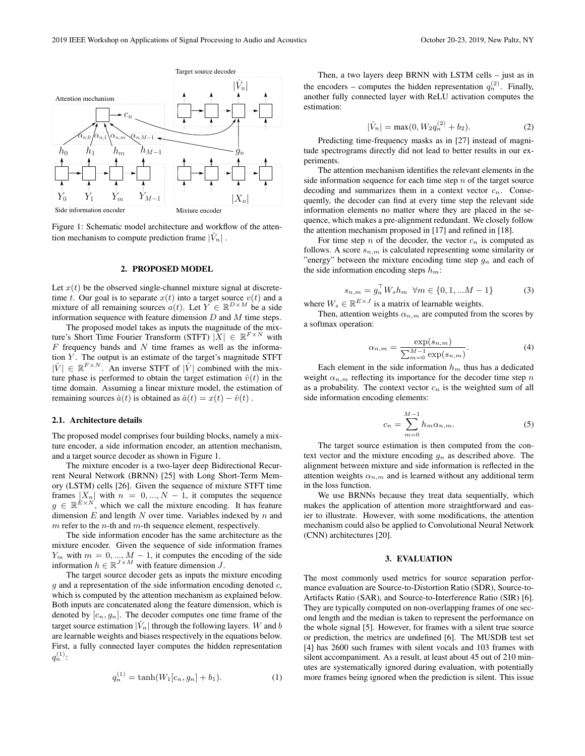

Figure 1: Schematic model architecture and workflow of the attention mechanism to compute prediction frame  $|\hat{V}_n|$ .

#### 2. PROPOSED MODEL

Let  $x(t)$  be the observed single-channel mixture signal at discretetime t. Our goal is to separate  $x(t)$  into a target source  $v(t)$  and a mixture of all remaining sources  $a(t)$ . Let  $Y \in \mathbb{R}^{D \times M}$  be a side information sequence with feature dimension  $D$  and  $M$  time steps.

The proposed model takes as inputs the magnitude of the mixture's Short Time Fourier Transform (STFT)  $|X| \in \mathbb{R}^{F \times N}$  with  $F$  frequency bands and  $N$  time frames as well as the information  $Y$ . The output is an estimate of the target's magnitude STFT  $|\hat{V}| \in \mathbb{R}^{F \times N}$ . An inverse STFT of  $|\hat{V}|$  combined with the mixture phase is performed to obtain the target estimation  $\hat{v}(t)$  in the time domain. Assuming a linear mixture model, the estimation of remaining sources  $\hat{a}(t)$  is obtained as  $\hat{a}(t) = x(t) - \hat{v}(t)$ .

#### 2.1. Architecture details

The proposed model comprises four building blocks, namely a mixture encoder, a side information encoder, an attention mechanism, and a target source decoder as shown in Figure 1.

The mixture encoder is a two-layer deep Bidirectional Recurrent Neural Network (BRNN) [25] with Long Short-Term Memory (LSTM) cells [26]. Given the sequence of mixture STFT time frames  $|X_n|$  with  $n = 0, ..., N - 1$ , it computes the sequence  $g \in \mathbb{R}^{\hat{E} \times N}$ , which we call the mixture encoding. It has feature dimension  $E$  and length  $N$  over time. Variables indexed by  $n$  and  $m$  refer to the  $n$ -th and  $m$ -th sequence element, respectively.

The side information encoder has the same architecture as the mixture encoder. Given the sequence of side information frames  $Y_m$  with  $m = 0, ..., M - 1$ , it computes the encoding of the side information  $h \in \mathbb{R}^{J \times M}$  with feature dimension J.

The target source decoder gets as inputs the mixture encoding  $q$  and a representation of the side information encoding denoted  $c$ , which is computed by the attention mechanism as explained below. Both inputs are concatenated along the feature dimension, which is denoted by  $[c_n, g_n]$ . The decoder computes one time frame of the target source estimation  $|\hat{V}_n|$  through the following layers. W and b are learnable weights and biases respectively in the equations below. First, a fully connected layer computes the hidden representation  $q_n^{(1)}$ :

$$
q_n^{(1)} = \tanh(W_1[c_n, g_n] + b_1). \tag{1}
$$

Then, a two layers deep BRNN with LSTM cells – just as in the encoders – computes the hidden representation  $q_n^{(2)}$ . Finally, another fully connected layer with ReLU activation computes the estimation:

$$
|\hat{V}_n| = \max(0, W_2 q_n^{(2)} + b_2).
$$
 (2)

Predicting time-frequency masks as in [27] instead of magnitude spectrograms directly did not lead to better results in our experiments.

The attention mechanism identifies the relevant elements in the side information sequence for each time step  $n$  of the target source decoding and summarizes them in a context vector  $c_n$ . Consequently, the decoder can find at every time step the relevant side information elements no matter where they are placed in the sequence, which makes a pre-alignment redundant. We closely follow the attention mechanism proposed in [17] and refined in [18].

For time step  $n$  of the decoder, the vector  $c_n$  is computed as follows. A score  $s_{n,m}$  is calculated representing some similarity or "energy" between the mixture encoding time step  $g_n$  and each of the side information encoding steps  $h_m$ :

$$
s_{n,m} = g_n^{\top} W_s h_m \quad \forall m \in \{0, 1, \dots M - 1\}
$$
 (3)

where  $W_s \in \mathbb{R}^{E \times J}$  is a matrix of learnable weights.

Then, attention weights  $\alpha_{n,m}$  are computed from the scores by a softmax operation:

$$
\alpha_{n,m} = \frac{\exp(s_{n,m})}{\sum_{m=0}^{M-1} \exp(s_{n,m})}.
$$
\n(4)

Each element in the side information  $h_m$  thus has a dedicated weight  $\alpha_{n,m}$  reflecting its importance for the decoder time step n as a probability. The context vector  $c_n$  is the weighted sum of all side information encoding elements:

$$
c_n = \sum_{m=0}^{M-1} h_m \alpha_{n,m}.
$$
 (5)

The target source estimation is then computed from the context vector and the mixture encoding  $g_n$  as described above. The alignment between mixture and side information is reflected in the attention weights  $\alpha_{n,m}$  and is learned without any additional term in the loss function.

We use BRNNs because they treat data sequentially, which makes the application of attention more straightforward and easier to illustrate. However, with some modifications, the attention mechanism could also be applied to Convolutional Neural Network (CNN) architectures [20].

#### 3. EVALUATION

The most commonly used metrics for source separation performance evaluation are Source-to-Distortion Ratio (SDR), Source-to-Artifacts Ratio (SAR), and Source-to-Interference Ratio (SIR) [6]. They are typically computed on non-overlapping frames of one second length and the median is taken to represent the performance on the whole signal [5]. However, for frames with a silent true source or prediction, the metrics are undefined [6]. The MUSDB test set [4] has 2600 such frames with silent vocals and 103 frames with silent accompaniment. As a result, at least about 45 out of 210 minutes are systematically ignored during evaluation, with potentially more frames being ignored when the prediction is silent. This issue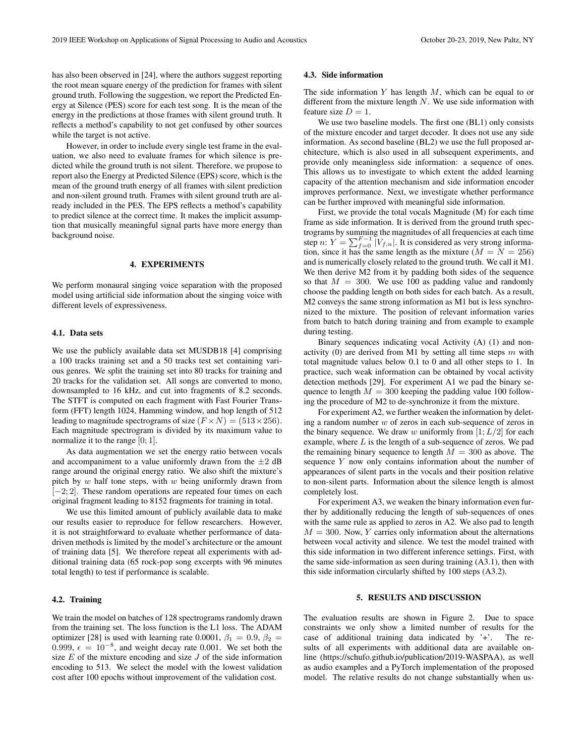has also been observed in [24], where the authors suggest reporting the root mean square energy of the prediction for frames with silent ground truth. Following the suggestion, we report the Predicted Energy at Silence (PES) score for each test song. It is the mean of the energy in the predictions at those frames with silent ground truth. It reflects a method's capability to not get confused by other sources while the target is not active.

However, in order to include every single test frame in the evaluation, we also need to evaluate frames for which silence is predicted while the ground truth is not silent. Therefore, we propose to report also the Energy at Predicted Silence (EPS) score, which is the mean of the ground truth energy of all frames with silent prediction and non-silent ground truth. Frames with silent ground truth are already included in the PES. The EPS reflects a method's capability to predict silence at the correct time. It makes the implicit assumption that musically meaningful signal parts have more energy than background noise.

#### 4. EXPERIMENTS

We perform monaural singing voice separation with the proposed model using artificial side information about the singing voice with different levels of expressiveness.

#### 4.1. Data sets

We use the publicly available data set MUSDB18 [4] comprising a 100 tracks training set and a 50 tracks test set containing various genres. We split the training set into 80 tracks for training and 20 tracks for the validation set. All songs are converted to mono, downsampled to 16 kHz, and cut into fragments of 8.2 seconds. The STFT is computed on each fragment with Fast Fourier Transform (FFT) length 1024, Hamming window, and hop length of 512 leading to magnitude spectrograms of size  $(F \times N) = (513 \times 256)$ . Each magnitude spectrogram is divided by its maximum value to normalize it to the range [0; 1].

As data augmentation we set the energy ratio between vocals and accompaniment to a value uniformly drawn from the  $\pm 2$  dB range around the original energy ratio. We also shift the mixture's pitch by  $w$  half tone steps, with  $w$  being uniformly drawn from  $[-2; 2]$ . These random operations are repeated four times on each original fragment leading to 8152 fragments for training in total.

We use this limited amount of publicly available data to make our results easier to reproduce for fellow researchers. However, it is not straightforward to evaluate whether performance of datadriven methods is limited by the model's architecture or the amount of training data [5]. We therefore repeat all experiments with additional training data (65 rock-pop song excerpts with 96 minutes total length) to test if performance is scalable.

# 4.2. Training

We train the model on batches of 128 spectrograms randomly drawn from the training set. The loss function is the L1 loss. The ADAM optimizer [28] is used with learning rate 0.0001,  $\beta_1 = 0.9$ ,  $\beta_2 =$ 0.999,  $\epsilon = 10^{-8}$ , and weight decay rate 0.001. We set both the size  $E$  of the mixture encoding and size  $J$  of the side information encoding to 513. We select the model with the lowest validation cost after 100 epochs without improvement of the validation cost.

#### 4.3. Side information

The side information  $Y$  has length  $M$ , which can be equal to or different from the mixture length  $N$ . We use side information with feature size  $D = 1$ .

We use two baseline models. The first one (BL1) only consists of the mixture encoder and target decoder. It does not use any side information. As second baseline (BL2) we use the full proposed architecture, which is also used in all subsequent experiments, and provide only meaningless side information: a sequence of ones. This allows us to investigate to which extent the added learning capacity of the attention mechanism and side information encoder improves performance. Next, we investigate whether performance can be further improved with meaningful side information.

First, we provide the total vocals Magnitude (M) for each time frame as side information. It is derived from the ground truth spectrograms by summing the magnitudes of all frequencies at each time step n:  $Y = \sum_{f=0}^{F-1} |V_{f,n}|$ . It is considered as very strong information, since it has the same length as the mixture ( $M = N = 256$ ) and is numerically closely related to the ground truth. We call it M1. We then derive M2 from it by padding both sides of the sequence so that  $M = 300$ . We use 100 as padding value and randomly choose the padding length on both sides for each batch. As a result, M2 conveys the same strong information as M1 but is less synchronized to the mixture. The position of relevant information varies from batch to batch during training and from example to example during testing.

Binary sequences indicating vocal Activity (A) (1) and nonactivity (0) are derived from M1 by setting all time steps  $m$  with total magnitude values below 0.1 to 0 and all other steps to 1. In practice, such weak information can be obtained by vocal activity detection methods [29]. For experiment A1 we pad the binary sequence to length  $M = 300$  keeping the padding value 100 following the procedure of M2 to de-synchronize it from the mixture.

For experiment A2, we further weaken the information by deleting a random number  $w$  of zeros in each sub-sequence of zeros in the binary sequence. We draw w uniformly from  $[1;L/2]$  for each example, where  $L$  is the length of a sub-sequence of zeros. We pad the remaining binary sequence to length  $M = 300$  as above. The sequence  $Y$  now only contains information about the number of appearances of silent parts in the vocals and their position relative to non-silent parts. Information about the silence length is almost completely lost.

For experiment A3, we weaken the binary information even further by additionally reducing the length of sub-sequences of ones with the same rule as applied to zeros in A2. We also pad to length  $M = 300$ . Now, Y carries only information about the alternations between vocal activity and silence. We test the model trained with this side information in two different inference settings. First, with the same side-information as seen during training (A3.1), then with this side information circularly shifted by 100 steps (A3.2).

# 5. RESULTS AND DISCUSSION

The evaluation results are shown in Figure 2. Due to space constraints we only show a limited number of results for the case of additional training data indicated by '+'. The results of all experiments with additional data are available online (https://schufo.github.io/publication/2019-WASPAA), as well as audio examples and a PyTorch implementation of the proposed model. The relative results do not change substantially when us-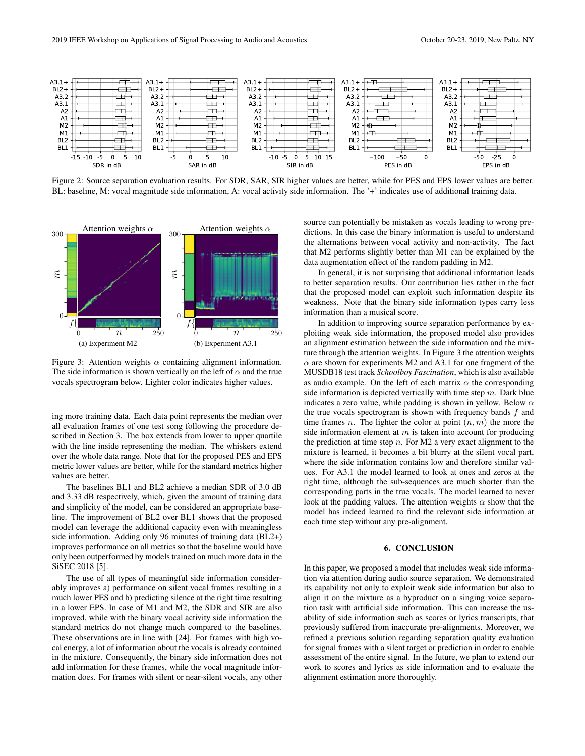

Figure 2: Source separation evaluation results. For SDR, SAR, SIR higher values are better, while for PES and EPS lower values are better. BL: baseline, M: vocal magnitude side information, A: vocal activity side information. The '+' indicates use of additional training data.



Figure 3: Attention weights  $\alpha$  containing alignment information. The side information is shown vertically on the left of  $\alpha$  and the true vocals spectrogram below. Lighter color indicates higher values.

ing more training data. Each data point represents the median over all evaluation frames of one test song following the procedure described in Section 3. The box extends from lower to upper quartile with the line inside representing the median. The whiskers extend over the whole data range. Note that for the proposed PES and EPS metric lower values are better, while for the standard metrics higher values are better.

The baselines BL1 and BL2 achieve a median SDR of 3.0 dB and 3.33 dB respectively, which, given the amount of training data and simplicity of the model, can be considered an appropriate baseline. The improvement of BL2 over BL1 shows that the proposed model can leverage the additional capacity even with meaningless side information. Adding only 96 minutes of training data (BL2+) improves performance on all metrics so that the baseline would have only been outperformed by models trained on much more data in the SiSEC 2018 [5].

The use of all types of meaningful side information considerably improves a) performance on silent vocal frames resulting in a much lower PES and b) predicting silence at the right time resulting in a lower EPS. In case of M1 and M2, the SDR and SIR are also improved, while with the binary vocal activity side information the standard metrics do not change much compared to the baselines. These observations are in line with [24]. For frames with high vocal energy, a lot of information about the vocals is already contained in the mixture. Consequently, the binary side information does not add information for these frames, while the vocal magnitude information does. For frames with silent or near-silent vocals, any other source can potentially be mistaken as vocals leading to wrong predictions. In this case the binary information is useful to understand the alternations between vocal activity and non-activity. The fact that M2 performs slightly better than M1 can be explained by the data augmentation effect of the random padding in M2.

In general, it is not surprising that additional information leads to better separation results. Our contribution lies rather in the fact that the proposed model can exploit such information despite its weakness. Note that the binary side information types carry less information than a musical score.

In addition to improving source separation performance by exploiting weak side information, the proposed model also provides an alignment estimation between the side information and the mixture through the attention weights. In Figure 3 the attention weights  $\alpha$  are shown for experiments M2 and A3.1 for one fragment of the MUSDB18 test track *Schoolboy Fascination*, which is also available as audio example. On the left of each matrix  $\alpha$  the corresponding side information is depicted vertically with time step  $m$ . Dark blue indicates a zero value, while padding is shown in yellow. Below  $\alpha$ the true vocals spectrogram is shown with frequency bands  $f$  and time frames *n*. The lighter the color at point  $(n, m)$  the more the side information element at  $m$  is taken into account for producing the prediction at time step  $n$ . For M2 a very exact alignment to the mixture is learned, it becomes a bit blurry at the silent vocal part, where the side information contains low and therefore similar values. For A3.1 the model learned to look at ones and zeros at the right time, although the sub-sequences are much shorter than the corresponding parts in the true vocals. The model learned to never look at the padding values. The attention weights  $\alpha$  show that the model has indeed learned to find the relevant side information at each time step without any pre-alignment.

#### 6. CONCLUSION

In this paper, we proposed a model that includes weak side information via attention during audio source separation. We demonstrated its capability not only to exploit weak side information but also to align it on the mixture as a byproduct on a singing voice separation task with artificial side information. This can increase the usability of side information such as scores or lyrics transcripts, that previously suffered from inaccurate pre-alignments. Moreover, we refined a previous solution regarding separation quality evaluation for signal frames with a silent target or prediction in order to enable assessment of the entire signal. In the future, we plan to extend our work to scores and lyrics as side information and to evaluate the alignment estimation more thoroughly.